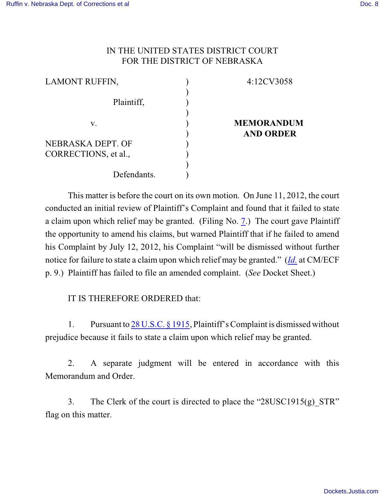## IN THE UNITED STATES DISTRICT COURT FOR THE DISTRICT OF NEBRASKA

| <b>LAMONT RUFFIN,</b> | 4:12CV3058        |
|-----------------------|-------------------|
|                       |                   |
| Plaintiff,            |                   |
|                       |                   |
| V.                    | <b>MEMORANDUM</b> |
|                       | <b>AND ORDER</b>  |
| NEBRASKA DEPT. OF     |                   |
| CORRECTIONS, et al.,  |                   |
|                       |                   |
| Defendants.           |                   |

This matter is before the court on its own motion. On June 11, 2012, the court conducted an initial review of Plaintiff's Complaint and found that it failed to state a claim upon which relief may be granted. (Filing No. [7](https://ecf.ned.uscourts.gov/doc1/11312543426).) The court gave Plaintiff the opportunity to amend his claims, but warned Plaintiff that if he failed to amend his Complaint by July 12, 2012, his Complaint "will be dismissed without further notice for failure to state a claim upon which relief may be granted." (*[Id.](https://ecf.ned.uscourts.gov/doc1/11312543426)* at CM/ECF p. 9.) Plaintiff has failed to file an amended complaint. (*See* Docket Sheet.)

IT IS THEREFORE ORDERED that:

1. Pursuant to 28 [U.S.C. § 1915](http://web2.westlaw.com/find/default.wl?rs=WLW9.02&ifm=NotSet&fn=_top&sv=Split&cite=28+usc+1915&vr=2.0&rp=%2ffind%2fdefault.wl&mt=Westlaw), Plaintiff's Complaint is dismissed without prejudice because it fails to state a claim upon which relief may be granted.

2. A separate judgment will be entered in accordance with this Memorandum and Order.

3. The Clerk of the court is directed to place the "28USC1915(g) STR" flag on this matter.